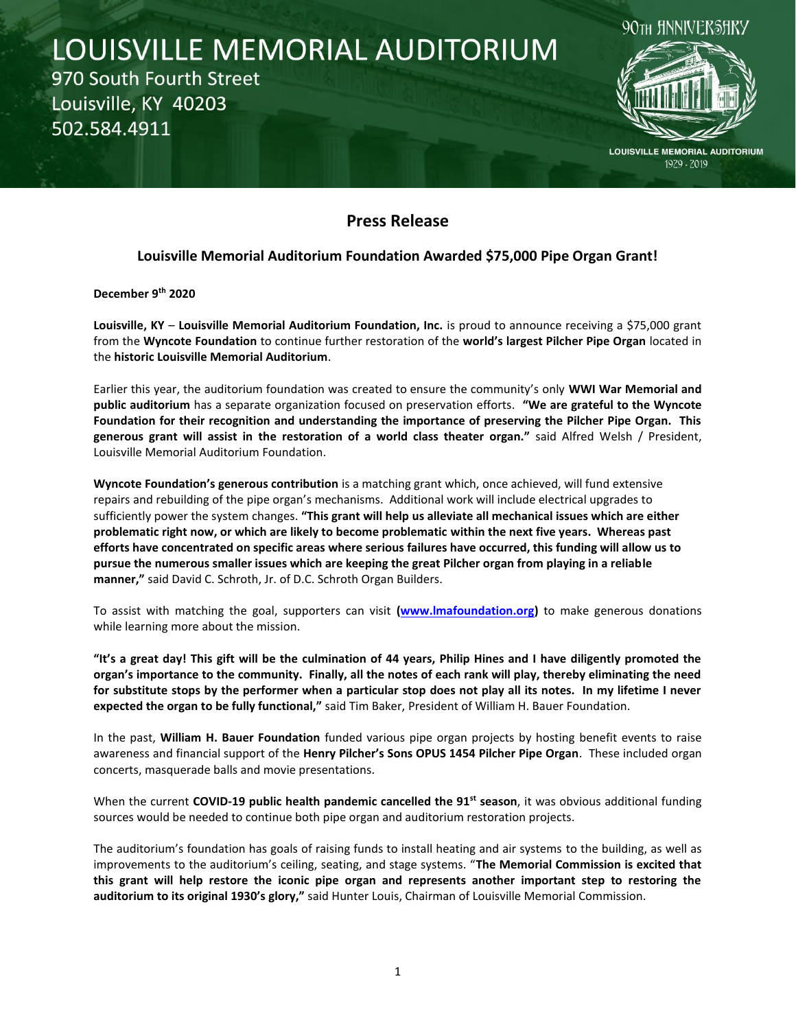# LOUISVILLE MEMORIAL AUDITORIUM 970 South Fourth Street Louisville, KY 40203 502.584.4911



**LOUISVILLE MEMORIAL AUDITORIUM** 1929 - 2019

## **Press Release**

## **Louisville Memorial Auditorium Foundation Awarded \$75,000 Pipe Organ Grant!**

**December 9th 2020**

**Louisville, KY** – **Louisville Memorial Auditorium Foundation, Inc.** is proud to announce receiving a \$75,000 grant from the **Wyncote Foundation** to continue further restoration of the **world's largest Pilcher Pipe Organ** located in the **historic Louisville Memorial Auditorium**.

Earlier this year, the auditorium foundation was created to ensure the community's only **WWI War Memorial and public auditorium** has a separate organization focused on preservation efforts. **"We are grateful to the Wyncote Foundation for their recognition and understanding the importance of preserving the Pilcher Pipe Organ. This generous grant will assist in the restoration of a world class theater organ."** said Alfred Welsh / President, Louisville Memorial Auditorium Foundation.

**Wyncote Foundation's generous contribution** is a matching grant which, once achieved, will fund extensive repairs and rebuilding of the pipe organ's mechanisms. Additional work will include electrical upgrades to sufficiently power the system changes. **"This grant will help us alleviate all mechanical issues which are either problematic right now, or which are likely to become problematic within the next five years. Whereas past efforts have concentrated on specific areas where serious failures have occurred, this funding will allow us to pursue the numerous smaller issues which are keeping the great Pilcher organ from playing in a reliable manner,"** said David C. Schroth, Jr. of D.C. Schroth Organ Builders.

To assist with matching the goal, supporters can visit **[\(www.lmafoundation.org\)](http://www.lmafoundation.org/)** to make generous donations while learning more about the mission.

**"It's a great day! This gift will be the culmination of 44 years, Philip Hines and I have diligently promoted the organ's importance to the community. Finally, all the notes of each rank will play, thereby eliminating the need for substitute stops by the performer when a particular stop does not play all its notes. In my lifetime I never expected the organ to be fully functional,"** said Tim Baker, President of William H. Bauer Foundation.

In the past, **William H. Bauer Foundation** funded various pipe organ projects by hosting benefit events to raise awareness and financial support of the **Henry Pilcher's Sons OPUS 1454 Pilcher Pipe Organ**. These included organ concerts, masquerade balls and movie presentations.

When the current **COVID-19 public health pandemic cancelled the 91st season**, it was obvious additional funding sources would be needed to continue both pipe organ and auditorium restoration projects.

The auditorium's foundation has goals of raising funds to install heating and air systems to the building, as well as improvements to the auditorium's ceiling, seating, and stage systems. "**The Memorial Commission is excited that this grant will help restore the iconic pipe organ and represents another important step to restoring the auditorium to its original 1930's glory,"** said Hunter Louis, Chairman of Louisville Memorial Commission.